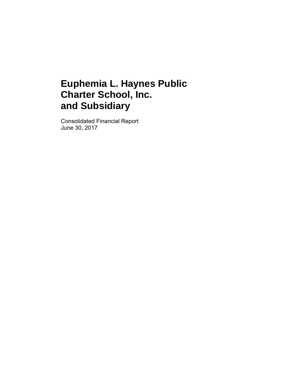Consolidated Financial Report June 30, 2017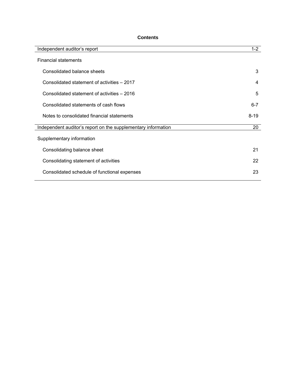# **Contents**

| Independent auditor's report                                  | $1 - 2$  |
|---------------------------------------------------------------|----------|
| <b>Financial statements</b>                                   |          |
| Consolidated balance sheets                                   | 3        |
| Consolidated statement of activities – 2017                   | 4        |
| Consolidated statement of activities – 2016                   | 5        |
| Consolidated statements of cash flows                         | $6 - 7$  |
| Notes to consolidated financial statements                    | $8 - 19$ |
| Independent auditor's report on the supplementary information | 20       |
| Supplementary information                                     |          |
| Consolidating balance sheet                                   | 21       |
| Consolidating statement of activities                         | 22       |
| Consolidated schedule of functional expenses                  | 23       |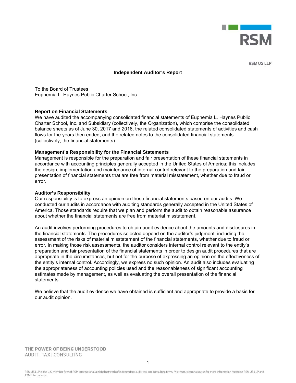

**RSM US LLP** 

#### **Independent Auditor's Report**

To the Board of Trustees Euphemia L. Haynes Public Charter School, Inc.

#### **Report on Financial Statements**

We have audited the accompanying consolidated financial statements of Euphemia L. Haynes Public Charter School, Inc. and Subsidiary (collectively, the Organization), which comprise the consolidated balance sheets as of June 30, 2017 and 2016, the related consolidated statements of activities and cash flows for the years then ended, and the related notes to the consolidated financial statements (collectively, the financial statements).

#### **Management's Responsibility for the Financial Statements**

Management is responsible for the preparation and fair presentation of these financial statements in accordance with accounting principles generally accepted in the United States of America; this includes the design, implementation and maintenance of internal control relevant to the preparation and fair presentation of financial statements that are free from material misstatement, whether due to fraud or error.

#### **Auditor's Responsibility**

Our responsibility is to express an opinion on these financial statements based on our audits. We conducted our audits in accordance with auditing standards generally accepted in the United States of America. Those standards require that we plan and perform the audit to obtain reasonable assurance about whether the financial statements are free from material misstatement.

An audit involves performing procedures to obtain audit evidence about the amounts and disclosures in the financial statements. The procedures selected depend on the auditor's judgment, including the assessment of the risks of material misstatement of the financial statements, whether due to fraud or error. In making those risk assessments, the auditor considers internal control relevant to the entity's preparation and fair presentation of the financial statements in order to design audit procedures that are appropriate in the circumstances, but not for the purpose of expressing an opinion on the effectiveness of the entity's internal control. Accordingly, we express no such opinion. An audit also includes evaluating the appropriateness of accounting policies used and the reasonableness of significant accounting estimates made by management, as well as evaluating the overall presentation of the financial statements.

We believe that the audit evidence we have obtained is sufficient and appropriate to provide a basis for our audit opinion.

THE POWER OF BEING UNDERSTOOD AUDIT | TAX | CONSULTING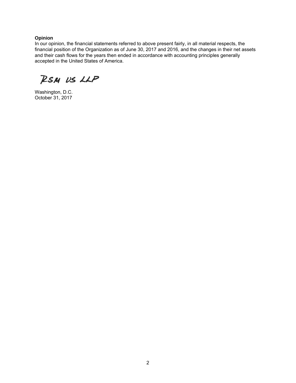### **Opinion**

In our opinion, the financial statements referred to above present fairly, in all material respects, the financial position of the Organization as of June 30, 2017 and 2016, and the changes in their net assets and their cash flows for the years then ended in accordance with accounting principles generally accepted in the United States of America.

RSM US LLP

Washington, D.C. October 31, 2017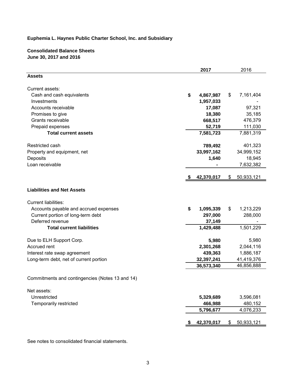### **Consolidated Balance Sheets June 30, 2017 and 2016**

|                                                 |    | 2017       |    | 2016       |
|-------------------------------------------------|----|------------|----|------------|
| <b>Assets</b>                                   |    |            |    |            |
| Current assets:                                 |    |            |    |            |
| Cash and cash equivalents                       | \$ | 4,867,987  | \$ | 7,161,404  |
| Investments                                     |    | 1,957,033  |    |            |
| Accounts receivable                             |    | 17,087     |    | 97,321     |
| Promises to give                                |    | 18,380     |    | 35,185     |
| Grants receivable                               |    | 668,517    |    | 476,379    |
| Prepaid expenses                                |    | 52,719     |    | 111,030    |
| <b>Total current assets</b>                     |    | 7,581,723  |    | 7,881,319  |
| Restricted cash                                 |    | 789,492    |    | 401,323    |
| Property and equipment, net                     |    | 33,997,162 |    | 34,999,152 |
| Deposits                                        |    | 1,640      |    | 18,945     |
| Loan receivable                                 |    |            |    | 7,632,382  |
|                                                 | \$ | 42,370,017 | \$ | 50,933,121 |
|                                                 |    |            |    |            |
| <b>Liabilities and Net Assets</b>               |    |            |    |            |
| <b>Current liabilities:</b>                     |    |            |    |            |
| Accounts payable and accrued expenses           | \$ | 1,095,339  | \$ | 1,213,229  |
| Current portion of long-term debt               |    | 297,000    |    | 288,000    |
| Deferred revenue                                |    | 37,149     |    |            |
| <b>Total current liabilities</b>                |    | 1,429,488  |    | 1,501,229  |
| Due to ELH Support Corp.                        |    | 5,980      |    | 5,980      |
| Accrued rent                                    |    | 2,301,268  |    | 2,044,116  |
| Interest rate swap agreement                    |    | 439,363    |    | 1,886,187  |
| Long-term debt, net of current portion          |    | 32,397,241 |    | 41,419,376 |
|                                                 |    | 36,573,340 |    | 46,856,888 |
| Commitments and contingencies (Notes 13 and 14) |    |            |    |            |
| Net assets:                                     |    |            |    |            |
| Unrestricted                                    |    | 5,329,689  |    | 3,596,081  |
| Temporarily restricted                          |    | 466,988    |    | 480,152    |
|                                                 |    | 5,796,677  |    | 4,076,233  |
|                                                 |    |            |    |            |
|                                                 | P. | 42,370,017 | S  | 50,933,121 |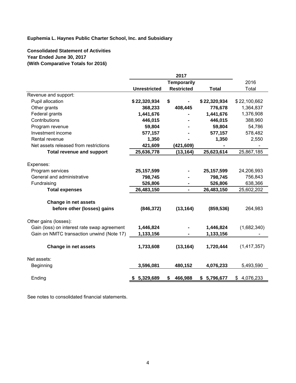**Consolidated Statement of Activities Year Ended June 30, 2017 (With Comparative Totals for 2016)**

|                                             | 2017                   |                    |              |                 |
|---------------------------------------------|------------------------|--------------------|--------------|-----------------|
|                                             |                        | <b>Temporarily</b> |              | 2016            |
|                                             | <b>Unrestricted</b>    | <b>Restricted</b>  | <b>Total</b> | Total           |
| Revenue and support:                        |                        |                    |              |                 |
| Pupil allocation                            | \$22,320,934           | \$                 | \$22,320,934 | \$22,100,662    |
| Other grants                                | 368,233                | 408,445            | 776,678      | 1,364,837       |
| Federal grants                              | 1,441,676              |                    | 1,441,676    | 1,376,908       |
| Contributions                               | 446,015                |                    | 446,015      | 388,960         |
| Program revenue                             | 59,804                 |                    | 59,804       | 54,786          |
| Investment income                           | 577,157                |                    | 577,157      | 578,482         |
| Rental revenue                              | 1,350                  |                    | 1,350        | 2,550           |
| Net assets released from restrictions       | 421,609                | (421, 609)         |              |                 |
| <b>Total revenue and support</b>            | 25,636,778             | (13, 164)          | 25,623,614   | 25,867,185      |
|                                             |                        |                    |              |                 |
| Expenses:                                   |                        |                    |              |                 |
| Program services                            | 25,157,599             |                    | 25, 157, 599 | 24,206,993      |
| General and administrative                  | 798,745                |                    | 798,745      | 756,843         |
| Fundraising                                 | 526,806                |                    | 526,806      | 638,366         |
| <b>Total expenses</b>                       | 26,483,150             | $\blacksquare$     | 26,483,150   | 25,602,202      |
| <b>Change in net assets</b>                 |                        |                    |              |                 |
| before other (losses) gains                 | (846, 372)             | (13, 164)          | (859, 536)   | 264,983         |
| Other gains (losses):                       |                        |                    |              |                 |
| Gain (loss) on interest rate swap agreement | 1,446,824              |                    | 1,446,824    | (1,682,340)     |
| Gain on NMTC transaction unwind (Note 17)   | 1,133,156              |                    | 1,133,156    |                 |
|                                             |                        |                    |              |                 |
| <b>Change in net assets</b>                 | 1,733,608              | (13, 164)          | 1,720,444    | (1, 417, 357)   |
| Net assets:                                 |                        |                    |              |                 |
| <b>Beginning</b>                            | 3,596,081              | 480,152            | 4,076,233    | 5,493,590       |
|                                             |                        |                    |              |                 |
| Ending                                      | 5,329,689<br><u>\$</u> | 466,988<br>S       | \$5,796,677  | \$<br>4,076,233 |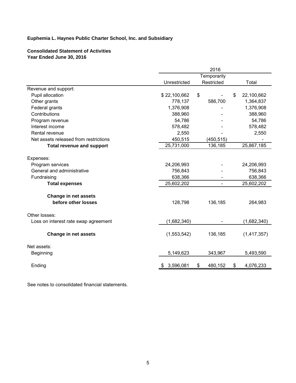# **Consolidated Statement of Activities Year Ended June 30, 2016**

|                                       | 2016            |               |    |             |
|---------------------------------------|-----------------|---------------|----|-------------|
|                                       |                 | Temporarily   |    |             |
|                                       | Unrestricted    | Restricted    |    | Total       |
| Revenue and support:                  |                 |               |    |             |
| Pupil allocation                      | \$22,100,662    | \$            | \$ | 22,100,662  |
| Other grants                          | 778,137         | 586,700       |    | 1,364,837   |
| Federal grants                        | 1,376,908       |               |    | 1,376,908   |
| Contributions                         | 388,960         |               |    | 388,960     |
| Program revenue                       | 54,786          |               |    | 54,786      |
| Interest income                       | 578,482         |               |    | 578,482     |
| Rental revenue                        | 2,550           |               |    | 2,550       |
| Net assets released from restrictions | 450,515         | (450, 515)    |    |             |
| <b>Total revenue and support</b>      | 25,731,000      | 136,185       |    | 25,867,185  |
| Expenses:                             |                 |               |    |             |
| Program services                      | 24,206,993      |               |    | 24,206,993  |
| General and administrative            | 756,843         |               |    | 756,843     |
| Fundraising                           | 638,366         |               |    | 638,366     |
| <b>Total expenses</b>                 | 25,602,202      |               |    | 25,602,202  |
| <b>Change in net assets</b>           |                 |               |    |             |
| before other losses                   | 128,798         | 136,185       |    | 264,983     |
| Other losses:                         |                 |               |    |             |
| Loss on interest rate swap agreement  | (1,682,340)     |               |    | (1,682,340) |
| <b>Change in net assets</b>           | (1,553,542)     | 136,185       |    | (1,417,357) |
| Net assets:                           |                 |               |    |             |
| <b>Beginning</b>                      | 5,149,623       | 343,967       |    | 5,493,590   |
| Ending                                | 3,596,081<br>\$ | \$<br>480,152 | \$ | 4,076,233   |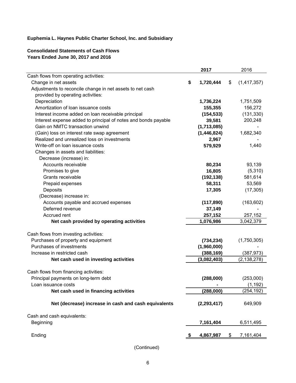# **Consolidated Statements of Cash Flows Years Ended June 30, 2017 and 2016**

|                                                                | 2017            |     | 2016          |
|----------------------------------------------------------------|-----------------|-----|---------------|
| Cash flows from operating activities:                          |                 |     |               |
| Change in net assets                                           | \$<br>1,720,444 | \$  | (1,417,357)   |
| Adjustments to reconcile change in net assets to net cash      |                 |     |               |
| provided by operating activities:                              |                 |     |               |
| Depreciation                                                   | 1,736,224       |     | 1,751,509     |
| Amortization of loan issuance costs                            | 155,355         |     | 156,272       |
| Interest income added on loan receivable principal             | (154, 533)      |     | (131, 330)    |
| Interest expense added to principal of notes and bonds payable | 39,581          |     | 200,248       |
| Gain on NMTC transaction unwind                                | (1,713,085)     |     |               |
| (Gain) loss on interest rate swap agreement                    | (1,446,824)     |     | 1,682,340     |
| Realized and unrealized loss on investments                    | 2,967           |     |               |
| Write-off on loan issuance costs                               | 579,929         |     | 1,440         |
| Changes in assets and liabilities:                             |                 |     |               |
| Decrease (increase) in:                                        |                 |     |               |
| Accounts receivable                                            | 80,234          |     | 93,139        |
| Promises to give                                               | 16,805          |     | (5,310)       |
| Grants receivable                                              | (192, 138)      |     | 581,614       |
| Prepaid expenses                                               | 58,311          |     | 53,569        |
| Deposits                                                       | 17,305          |     | (17, 305)     |
| (Decrease) increase in:                                        |                 |     |               |
| Accounts payable and accrued expenses                          | (117, 890)      |     | (163, 602)    |
| Deferred revenue                                               | 37,149          |     |               |
| Accrued rent                                                   | 257,152         |     | 257,152       |
| Net cash provided by operating activities                      | 1,076,986       |     | 3,042,379     |
|                                                                |                 |     |               |
| Cash flows from investing activities:                          |                 |     |               |
| Purchases of property and equipment                            | (734, 234)      |     | (1,750,305)   |
| Purchases of investments                                       | (1,960,000)     |     |               |
| Increase in restricted cash                                    | (388, 169)      |     | (387, 973)    |
| Net cash used in investing activities                          | (3,082,403)     |     | (2, 138, 278) |
|                                                                |                 |     |               |
| Cash flows from financing activities:                          |                 |     |               |
| Principal payments on long-term debt                           | (288,000)       |     | (253,000)     |
| Loan issuance costs                                            |                 |     | (1, 192)      |
| Net cash used in financing activities                          | (288,000)       |     | (254, 192)    |
|                                                                |                 |     |               |
| Net (decrease) increase in cash and cash equivalents           | (2, 293, 417)   |     | 649,909       |
| Cash and cash equivalents:                                     |                 |     |               |
| Beginning                                                      | 7,161,404       |     | 6,511,495     |
|                                                                |                 |     |               |
| Ending                                                         | 4,867,987       | \$. | 7,161,404     |
|                                                                |                 |     |               |

(Continued)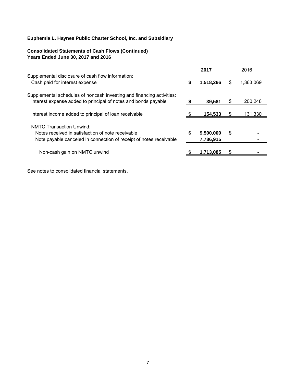# **Consolidated Statements of Cash Flows (Continued) Years Ended June 30, 2017 and 2016**

|                                                                                                                                                     | 2017                         |   | 2016      |
|-----------------------------------------------------------------------------------------------------------------------------------------------------|------------------------------|---|-----------|
| Supplemental disclosure of cash flow information:                                                                                                   |                              |   |           |
| Cash paid for interest expense                                                                                                                      | 1,518,266                    |   | 1,363,069 |
| Supplemental schedules of noncash investing and financing activities:<br>Interest expense added to principal of notes and bonds payable             | 39,581                       |   | 200,248   |
| Interest income added to principal of loan receivable                                                                                               | 154,533                      |   | 131,330   |
| NMTC Transaction Unwind:<br>Notes received in satisfaction of note receivable<br>Note payable canceled in connection of receipt of notes receivable | \$<br>9,500,000<br>7,786,915 | S |           |
| Non-cash gain on NMTC unwind                                                                                                                        | 1,713,085                    |   |           |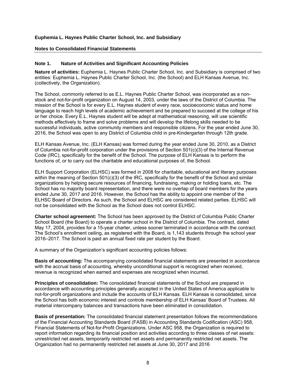#### **Notes to Consolidated Financial Statements**

#### **Note 1. Nature of Activities and Significant Accounting Policies**

**Nature of activities:** Euphemia L. Haynes Public Charter School, Inc. and Subsidiary is comprised of two entities: Euphemia L. Haynes Public Charter School, Inc. (the School) and ELH Kansas Avenue, Inc. (collectively, the Organization).

The School, commonly referred to as E.L. Haynes Public Charter School, was incorporated as a nonstock and not-for-profit organization on August 14, 2003, under the laws of the District of Columbia. The mission of the School is for every E.L. Haynes student of every race, socioeconomic status and home language to reach high levels of academic achievement and be prepared to succeed at the college of his or her choice. Every E.L. Haynes student will be adept at mathematical reasoning, will use scientific methods effectively to frame and solve problems and will develop the lifelong skills needed to be successful individuals, active community members and responsible citizens. For the year ended June 30, 2016, the School was open to any District of Columbia child in pre-Kindergarten through 12th grade.

ELH Kansas Avenue, Inc. (ELH Kansas) was formed during the year ended June 30, 2010, as a District of Columbia not-for-profit corporation under the provisions of Section 501(c)(3) of the Internal Revenue Code (IRC), specifically for the benefit of the School. The purpose of ELH Kansas is to perform the functions of, or to carry out the charitable and educational purposes of, the School.

ELH Support Corporation (ELHSC) was formed in 2008 for charitable, educational and literary purposes within the meaning of Section 501(c)(3) of the IRC, specifically for the benefit of the School and similar organizations by helping secure resources of financing, fundraising, making or holding loans, etc. The School has no majority board representation, and there were no overlap of board members for the years ended June 30, 2017 and 2016. However, the School has the ability to appoint one member of the ELHSC Board of Directors. As such, the School and ELHSC are considered related parties. ELHSC will not be consolidated with the School as the School does not control ELHSC.

**Charter school agreement:** The School has been approved by the District of Columbia Public Charter School Board (the Board) to operate a charter school in the District of Columbia. The contract, dated May 17, 2004, provides for a 15-year charter, unless sooner terminated in accordance with the contract. The School's enrollment ceiling, as registered with the Board, is 1,143 students through the school year 2016–2017. The School is paid an annual fixed rate per student by the Board.

A summary of the Organization's significant accounting policies follows:

**Basis of accounting:** The accompanying consolidated financial statements are presented in accordance with the accrual basis of accounting, whereby unconditional support is recognized when received, revenue is recognized when earned and expenses are recognized when incurred.

**Principles of consolidation:** The consolidated financial statements of the School are prepared in accordance with accounting principles generally accepted in the United States of America applicable to not-for-profit organizations and include the accounts of ELH Kansas. ELH Kansas is consolidated, since the School has both economic interest and controls membership of ELH Kansas' Board of Trustees. All material intercompany balances and transactions have been eliminated in consolidation.

**Basis of presentation:** The consolidated financial statement presentation follows the recommendations of the Financial Accounting Standards Board (FASB) in Accounting Standards Codification (ASC) 958, Financial Statements of Not-for-Profit Organizations. Under ASC 958, the Organization is required to report information regarding its financial position and activities according to three classes of net assets: unrestricted net assets, temporarily restricted net assets and permanently restricted net assets. The Organization had no permanently restricted net assets at June 30, 2017 and 2016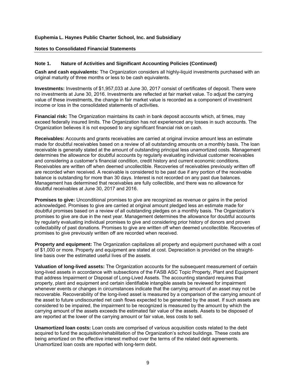#### **Notes to Consolidated Financial Statements**

#### **Note 1. Nature of Activities and Significant Accounting Policies (Continued)**

**Cash and cash equivalents:** The Organization considers all highly-liquid investments purchased with an original maturity of three months or less to be cash equivalents.

**Investments:** Investments of \$1,957,033 at June 30, 2017 consist of certificates of deposit. There were no investments at June 30, 2016. Investments are reflected at fair market value. To adjust the carrying value of these investments, the change in fair market value is recorded as a component of investment income or loss in the consolidated statements of activities.

**Financial risk:** The Organization maintains its cash in bank deposit accounts which, at times, may exceed federally insured limits. The Organization has not experienced any losses in such accounts. The Organization believes it is not exposed to any significant financial risk on cash.

**Receivables:** Accounts and grants receivables are carried at original invoice amount less an estimate made for doubtful receivables based on a review of all outstanding amounts on a monthly basis. The loan receivable is generally stated at the amount of outstanding principal less unamortized costs. Management determines the allowance for doubtful accounts by regularly evaluating individual customer receivables and considering a customer's financial condition, credit history and current economic conditions. Receivables are written off when deemed uncollectible. Recoveries of receivables previously written off are recorded when received. A receivable is considered to be past due if any portion of the receivable balance is outstanding for more than 30 days. Interest is not recorded on any past due balances. Management has determined that receivables are fully collectible, and there was no allowance for doubtful receivables at June 30, 2017 and 2016.

**Promises to give:** Unconditional promises to give are recognized as revenue or gains in the period acknowledged. Promises to give are carried at original amount pledged less an estimate made for doubtful promises based on a review of all outstanding pledges on a monthly basis. The Organization's promises to give are due in the next year. Management determines the allowance for doubtful accounts by regularly evaluating individual promises to give and considering prior history of donors and proven collectability of past donations. Promises to give are written off when deemed uncollectible. Recoveries of promises to give previously written off are recorded when received.

**Property and equipment:** The Organization capitalizes all property and equipment purchased with a cost of \$1,000 or more. Property and equipment are stated at cost. Depreciation is provided on the straightline basis over the estimated useful lives of the assets.

**Valuation of long-lived assets:** The Organization accounts for the subsequent measurement of certain long-lived assets in accordance with subsections of the FASB ASC Topic Property, Plant and Equipment that address Impairment or Disposal of Long-Lived Assets. The accounting standard requires that property, plant and equipment and certain identifiable intangible assets be reviewed for impairment whenever events or changes in circumstances indicate that the carrying amount of an asset may not be recoverable. Recoverability of the long-lived asset is measured by a comparison of the carrying amount of the asset to future undiscounted net cash flows expected to be generated by the asset. If such assets are considered to be impaired, the impairment to be recognized is measured by the amount by which the carrying amount of the assets exceeds the estimated fair value of the assets. Assets to be disposed of are reported at the lower of the carrying amount or fair value, less costs to sell.

**Unamortized loan costs:** Loan costs are comprised of various acquisition costs related to the debt acquired to fund the acquisition/rehabilitation of the Organization's school buildings. These costs are being amortized on the effective interest method over the terms of the related debt agreements. Unamortized loan costs are reported with long-term debt.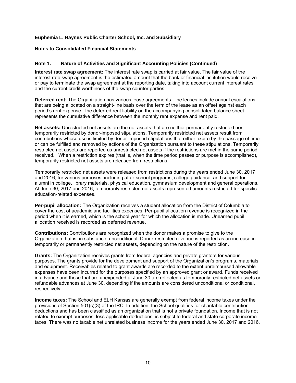#### **Notes to Consolidated Financial Statements**

#### **Note 1. Nature of Activities and Significant Accounting Policies (Continued)**

**Interest rate swap agreement:** The interest rate swap is carried at fair value. The fair value of the interest rate swap agreement is the estimated amount that the bank or financial institution would receive or pay to terminate the swap agreement at the reporting date, taking into account current interest rates and the current credit worthiness of the swap counter parties.

**Deferred rent:** The Organization has various lease agreements. The leases include annual escalations that are being allocated on a straight-line basis over the term of the lease as an offset against each period's rent expense. The deferred rent liability on the accompanying consolidated balance sheet represents the cumulative difference between the monthly rent expense and rent paid.

**Net assets:** Unrestricted net assets are the net assets that are neither permanently restricted nor temporarily restricted by donor-imposed stipulations. Temporarily restricted net assets result from contributions whose use is limited by donor-imposed stipulations that either expire by the passage of time or can be fulfilled and removed by actions of the Organization pursuant to these stipulations. Temporarily restricted net assets are reported as unrestricted net assets if the restrictions are met in the same period received. When a restriction expires (that is, when the time period passes or purpose is accomplished), temporarily restricted net assets are released from restrictions.

Temporarily restricted net assets were released from restrictions during the years ended June 30, 2017 and 2016, for various purposes, including after-school programs, college guidance, and support for alumni in college, library materials, physical education, gymnasium development and general operations. At June 30, 2017 and 2016, temporarily restricted net assets represented amounts restricted for specific education-related expenses.

**Per-pupil allocation:** The Organization receives a student allocation from the District of Columbia to cover the cost of academic and facilities expenses. Per-pupil allocation revenue is recognized in the period when it is earned, which is the school year for which the allocation is made. Unearned pupil allocation received is recorded as deferred revenue.

**Contributions:** Contributions are recognized when the donor makes a promise to give to the Organization that is, in substance, unconditional. Donor-restricted revenue is reported as an increase in temporarily or permanently restricted net assets, depending on the nature of the restriction.

**Grants:** The Organization receives grants from federal agencies and private grantors for various purposes. The grants provide for the development and support of the Organization's programs, materials and equipment. Receivables related to grant awards are recorded to the extent unreimbursed allowable expenses have been incurred for the purposes specified by an approved grant or award. Funds received in advance and those that are unexpended at June 30 are reflected as temporarily restricted net assets or refundable advances at June 30, depending if the amounts are considered unconditional or conditional, respectively.

**Income taxes:** The School and ELH Kansas are generally exempt from federal income taxes under the provisions of Section 501(c)(3) of the IRC. In addition, the School qualifies for charitable contribution deductions and has been classified as an organization that is not a private foundation. Income that is not related to exempt purposes, less applicable deductions, is subject to federal and state corporate income taxes. There was no taxable net unrelated business income for the years ended June 30, 2017 and 2016.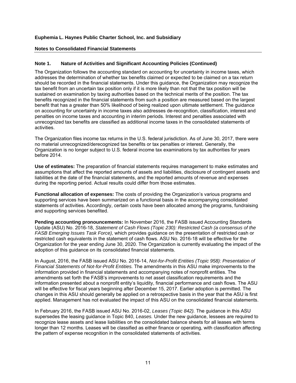#### **Notes to Consolidated Financial Statements**

#### **Note 1. Nature of Activities and Significant Accounting Policies (Continued)**

The Organization follows the accounting standard on accounting for uncertainty in income taxes, which addresses the determination of whether tax benefits claimed or expected to be claimed on a tax return should be recorded in the financial statements. Under this guidance, the Organization may recognize the tax benefit from an uncertain tax position only if it is more likely than not that the tax position will be sustained on examination by taxing authorities based on the technical merits of the position. The tax benefits recognized in the financial statements from such a position are measured based on the largest benefit that has a greater than 50% likelihood of being realized upon ultimate settlement. The guidance on accounting for uncertainty in income taxes also addresses de-recognition, classification, interest and penalties on income taxes and accounting in interim periods. Interest and penalties associated with unrecognized tax benefits are classified as additional income taxes in the consolidated statements of activities.

The Organization files income tax returns in the U.S. federal jurisdiction. As of June 30, 2017, there were no material unrecognized/derecognized tax benefits or tax penalties or interest. Generally, the Organization is no longer subject to U.S. federal income tax examinations by tax authorities for years before 2014.

**Use of estimates:** The preparation of financial statements requires management to make estimates and assumptions that affect the reported amounts of assets and liabilities, disclosure of contingent assets and liabilities at the date of the financial statements, and the reported amounts of revenue and expenses during the reporting period. Actual results could differ from those estimates.

**Functional allocation of expenses:** The costs of providing the Organization's various programs and supporting services have been summarized on a functional basis in the accompanying consolidated statements of activities. Accordingly, certain costs have been allocated among the programs, fundraising and supporting services benefited.

**Pending accounting pronouncements:** In November 2016, the FASB issued Accounting Standards Update (ASU) No. 2016-18, *Statement of Cash Flows (Topic 230): Restricted Cash (a consensus of the FASB Emerging Issues Task Force),* which provides guidance on the presentation of restricted cash or restricted cash equivalents in the statement of cash flows. ASU No. 2016-18 will be effective for the Organization for the year ending June 30, 2020. The Organization is currently evaluating the impact of the adoption of this guidance on its consolidated financial statements.

In August, 2016, the FASB issued ASU No. 2016-14, *Not-for-Profit Entities (Topic 958): Presentation of Financial Statements of Not-for-Profit Entities.* The amendments in this ASU make improvements to the information provided in financial statements and accompanying notes of nonprofit entities. The amendments set forth the FASB's improvements to net asset classification requirements and the information presented about a nonprofit entity's liquidity, financial performance and cash flows. The ASU will be effective for fiscal years beginning after December 15, 2017. Earlier adoption is permitted. The changes in this ASU should generally be applied on a retrospective basis in the year that the ASU is first applied. Management has not evaluated the impact of this ASU on the consolidated financial statements.

In February 2016, the FASB issued ASU No. 2016-02, *Leases (Topic 842).* The guidance in this ASU supersedes the leasing guidance in Topic 840, *Leases.* Under the new guidance, lessees are required to recognize lease assets and lease liabilities on the consolidated balance sheets for all leases with terms longer than 12 months. Leases will be classified as either finance or operating, with classification affecting the pattern of expense recognition in the consolidated statements of activities.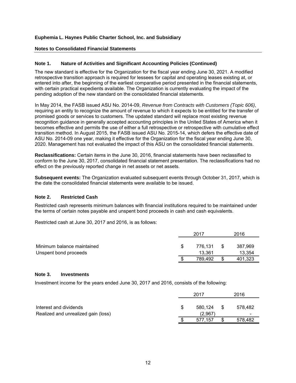#### **Notes to Consolidated Financial Statements**

#### **Note 1. Nature of Activities and Significant Accounting Policies (Continued)**

The new standard is effective for the Organization for the fiscal year ending June 30, 2021. A modified retrospective transition approach is required for lessees for capital and operating leases existing at, or entered into after, the beginning of the earliest comparative period presented in the financial statements, with certain practical expedients available. The Organization is currently evaluating the impact of the pending adoption of the new standard on the consolidated financial statements.

In May 2014, the FASB issued ASU No. 2014-09, *Revenue from Contracts with Customers (Topic 606)*, requiring an entity to recognize the amount of revenue to which it expects to be entitled for the transfer of promised goods or services to customers. The updated standard will replace most existing revenue recognition guidance in generally accepted accounting principles in the United States of America when it becomes effective and permits the use of either a full retrospective or retrospective with cumulative effect transition method. In August 2015, the FASB issued ASU No. 2015-14, which defers the effective date of ASU No. 2014-09 one year, making it effective for the Organization for the fiscal year ending June 30, 2020. Management has not evaluated the impact of this ASU on the consolidated financial statements.

**Reclassifications:** Certain items in the June 30, 2016, financial statements have been reclassified to conform to the June 30, 2017, consolidated financial statement presentation. The reclassifications had no effect on the previously reported change in net assets or net assets.

**Subsequent events:** The Organization evaluated subsequent events through October 31, 2017, which is the date the consolidated financial statements were available to be issued.

#### **Note 2. Restricted Cash**

Restricted cash represents minimum balances with financial institutions required to be maintained under the terms of certain notes payable and unspent bond proceeds in cash and cash equivalents.

Restricted cash at June 30, 2017 and 2016, is as follows:

|                                                     | 2017              | 2016              |
|-----------------------------------------------------|-------------------|-------------------|
| Minimum balance maintained<br>Unspent bond proceeds | 776.131<br>13.361 | 387,969<br>13,354 |
|                                                     | 789.492           | 401,323           |

#### **Note 3. Investments**

Investment income for the years ended June 30, 2017 and 2016, consists of the following:

|                                                               | 2017               | 2016                                |
|---------------------------------------------------------------|--------------------|-------------------------------------|
| Interest and dividends<br>Realized and unrealized gain (loss) | 580.124<br>(2,967) | 578.482<br>$\overline{\phantom{0}}$ |
|                                                               | 577.157            | 578,482                             |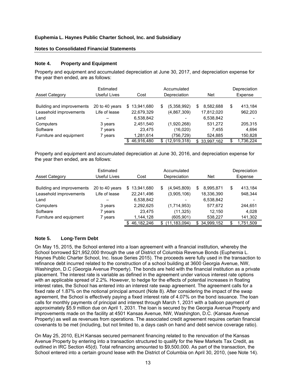#### **Notes to Consolidated Financial Statements**

#### **Note 4. Property and Equipment**

Property and equipment and accumulated depreciation at June 30, 2017, and depreciation expense for the year then ended, are as follows:

|                           | Estimated      |                 | Accumulated      |                |    | Depreciation |
|---------------------------|----------------|-----------------|------------------|----------------|----|--------------|
| <b>Asset Category</b>     | Useful Lives   | Cost            | Depreciation     | <b>Net</b>     |    | Expense      |
| Building and improvements | 20 to 40 years | 13,941,680<br>S | (5,358,992)<br>S | 8,582,688<br>S | \$ | 413,184      |
| Leasehold improvements    | Life of lease  | 22,679,329      | (4,867,309)      | 17,812,020     |    | 962,203      |
| Land                      |                | 6,538,842       |                  | 6,538,842      |    |              |
| Computers                 | 3 years        | 2,451,540       | (1,920,268)      | 531.272        |    | 205.315      |
| Software                  | 7 years        | 23.475          | (16,020)         | 7.455          |    | 4,694        |
| Furniture and equipment   | 7 years        | 1,281,614       | (756,729)        | 524,885        |    | 150,828      |
|                           |                | 46,916,480      | (12, 919, 318)   | \$33,997,162   | S  | 1,736,224    |

Property and equipment and accumulated depreciation at June 30, 2016, and depreciation expense for the year then ended, are as follows:

|                           | Estimated      |                  | Accumulated       |    |            |    | Depreciation |
|---------------------------|----------------|------------------|-------------------|----|------------|----|--------------|
| <b>Asset Category</b>     | Useful Lives   | Cost             | Depreciation      |    | <b>Net</b> |    | Expense      |
|                           |                |                  |                   |    |            |    |              |
| Building and improvements | 20 to 40 years | 13,941,680<br>S. | \$<br>(4,945,809) | S  | 8,995,871  | \$ | 413,184      |
| Leasehold improvements    | Life of lease  | 22,241,496       | (3,905,106)       |    | 18,336,390 |    | 948,344      |
| Land                      |                | 6,538,842        |                   |    | 6,538,842  |    |              |
| Computers                 | 3 years        | 2,292,625        | (1,714,953)       |    | 577.672    |    | 244.651      |
| Software                  | 7 years        | 23,475           | (11, 325)         |    | 12,150     |    | 4,028        |
| Furniture and equipment   | 7 years        | 1,144,128        | (605, 901)        |    | 538,227    |    | 141,302      |
|                           |                | 46,182,246       | (11, 183, 094)    | \$ | 34,999,152 | S  | 1,751,509    |

#### **Note 5. Long-Term Debt**

On May 15, 2015, the School entered into a loan agreement with a financial institution, whereby the School borrowed \$21,952,000 through the use of District of Columbia Revenue Bonds (Euphemia L. Haynes Public Charter School, Inc. Issue Series 2015). The proceeds were fully used in the transaction to refinance debt incurred related to the construction of a school building at 3600 Georgia Avenue, NW, Washington, D.C (Georgia Avenue Property). The bonds are held with the financial institution as a private placement. The interest rate is variable as defined in the agreement under various interest rate options with an applicable spread of 2.2%. However, to hedge for the effects of potential increases in floating interest rates, the School has entered into an interest rate swap agreement. The agreement calls for a fixed rate of 1.87% on the notional principal amount (Note 8). After considering the impact of the swap agreement, the School is effectively paying a fixed interest rate of 4.07% on the bond issuance. The loan calls for monthly payments of principal and interest through March 1, 2031 with a balloon payment of approximately \$5.9 million due on April 1, 2031. The loan is secured by the Georgia Avenue Property and improvements made on the facility at 4501 Kansas Avenue, NW, Washington, D.C. (Kansas Avenue Property) as well as revenues from operations. The associated credit agreement requires certain financial covenants to be met (including, but not limited to, a days cash on hand and debt service coverage ratio).

On May 25, 2010, ELH Kansas secured permanent financing related to the renovation of the Kansas Avenue Property by entering into a transaction structured to qualify for the New Markets Tax Credit, as outlined in IRC Section 45(d). Total refinancing amounted to \$9,500,000. As part of the transaction, the School entered into a certain ground lease with the District of Columbia on April 30, 2010, (see Note 14).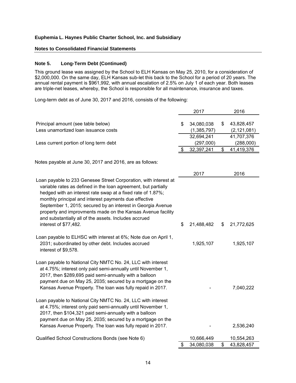#### **Notes to Consolidated Financial Statements**

#### **Note 5. Long-Term Debt (Continued)**

This ground lease was assigned by the School to ELH Kansas on May 25, 2010, for a consideration of \$2,000,000. On the same day, ELH Kansas sub-let this back to the School for a period of 20 years. The annual rental payment is \$961,992, with annual escalation of 2.5% on July 1 of each year. Both leases are triple-net leases, whereby, the School is responsible for all maintenance, insurance and taxes.

Long-term debt as of June 30, 2017 and 2016, consists of the following:

|                                                                                                                                                                                                                                                                                                                                                                                                                                                                            | 2017                                        | 2016                                        |
|----------------------------------------------------------------------------------------------------------------------------------------------------------------------------------------------------------------------------------------------------------------------------------------------------------------------------------------------------------------------------------------------------------------------------------------------------------------------------|---------------------------------------------|---------------------------------------------|
| Principal amount (see table below)<br>Less unamortized loan issuance costs                                                                                                                                                                                                                                                                                                                                                                                                 | \$<br>34,080,038<br>(1,385,797)             | \$<br>43,828,457<br>(2, 121, 081)           |
| Less current portion of long term debt                                                                                                                                                                                                                                                                                                                                                                                                                                     | \$<br>32,694,241<br>(297,000)<br>32,397,241 | \$<br>41,707,376<br>(288,000)<br>41,419,376 |
| Notes payable at June 30, 2017 and 2016, are as follows:                                                                                                                                                                                                                                                                                                                                                                                                                   |                                             |                                             |
| Loan payable to 233 Genesee Street Corporation, with interest at<br>variable rates as defined in the loan agreement, but partially<br>hedged with an interest rate swap at a fixed rate of 1.87%;<br>monthly principal and interest payments due effective<br>September 1, 2015; secured by an interest in Georgia Avenue<br>property and improvments made on the Kansas Avenue facility<br>and substantially all of the assets. Includes accrued<br>interest of \$77,482. | \$<br>2017<br>21,488,482                    | \$<br>2016<br>21,772,625                    |
| Loan payable to ELHSC with interest at 6%; Note due on April 1,<br>2031; subordinated by other debt. Includes accrued<br>interest of \$9,578.                                                                                                                                                                                                                                                                                                                              | 1,925,107                                   | 1,925,107                                   |
| Loan payable to National City NMTC No. 24, LLC with interest<br>at 4.75%; interest only paid semi-annually until November 1,<br>2017, then \$289,695 paid semi-annually with a balloon<br>payment due on May 25, 2035; secured by a mortgage on the<br>Kansas Avenue Property. The loan was fully repaid in 2017.                                                                                                                                                          |                                             | 7,040,222                                   |

Loan payable to National City NMTC No. 24, LLC with interest at 4.75%; interest only paid semi-annually until November 1, 2017, then \$104,321 paid semi-annually with a balloon payment due on May 25, 2035; secured by a mortgage on the Kansas Avenue Property. The loan was fully repaid in 2017. The case of the state of the 2,536,240

Qualified School Constructions Bonds (see Note 6) 10,666,449 10,554,263 \$ 34,080,038 \$ 43,828,457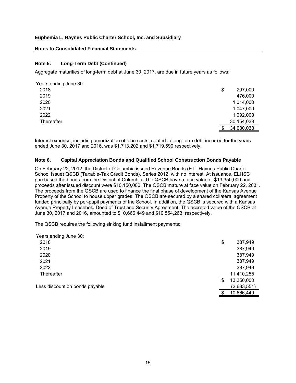#### **Notes to Consolidated Financial Statements**

#### **Note 5. Long-Term Debt (Continued)**

Aggregate maturities of long-term debt at June 30, 2017, are due in future years as follows:

| Years ending June 30: |                  |
|-----------------------|------------------|
| 2018                  | \$<br>297,000    |
| 2019                  | 476,000          |
| 2020                  | 1,014,000        |
| 2021                  | 1,047,000        |
| 2022                  | 1,092,000        |
| Thereafter            | 30,154,038       |
|                       | 34,080,038<br>\$ |

Interest expense, including amortization of loan costs, related to long-term debt incurred for the years ended June 30, 2017 and 2016, was \$1,713,202 and \$1,719,590 respectively.

#### **Note 6. Capital Appreciation Bonds and Qualified School Construction Bonds Payable**

On February 22, 2012, the District of Columbia issued Revenue Bonds (E.L. Haynes Public Charter School Issue) QSCB (Taxable-Tax Credit Bonds), Series 2012, with no interest. At issuance, ELHSC purchased the bonds from the District of Columbia. The QSCB have a face value of \$13,350,000 and proceeds after issued discount were \$10,150,000. The QSCB mature at face value on February 22, 2031. The proceeds from the QSCB are used to finance the final phase of development of the Kansas Avenue Property of the School to house upper grades. The QSCB are secured by a shared collateral agreement funded principally by per-pupil payments of the School. In addition, the QSCB is secured with a Kansas Avenue Property Leasehold Deed of Trust and Security Agreement. The accreted value of the QSCB at June 30, 2017 and 2016, amounted to \$10,666,449 and \$10,554,263, respectively.

The QSCB requires the following sinking fund installment payments:

 $y \rightarrow 0$  and  $y = 30$ 

| Years ending June 30:          |    |             |
|--------------------------------|----|-------------|
| 2018                           | \$ | 387,949     |
| 2019                           |    | 387,949     |
| 2020                           |    | 387,949     |
| 2021                           |    | 387,949     |
| 2022                           |    | 387,949     |
| <b>Thereafter</b>              |    | 11,410,255  |
|                                | S  | 13,350,000  |
| Less discount on bonds payable |    | (2,683,551) |
|                                |    | 10,666,449  |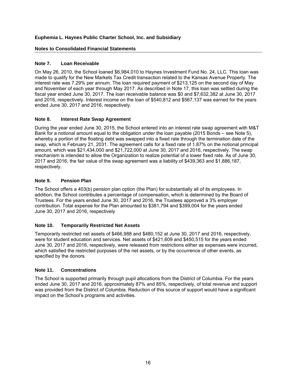### **Notes to Consolidated Financial Statements**

# **Note 7. Loan Receivable**

On May 26, 2010, the School loaned \$6,984,010 to Haynes Investment Fund No. 24, LLC. This loan was made to qualify for the New Markets Tax Credit transaction related to the Kansas Avenue Property. The interest rate was 7.29% per annum. The loan required payment of \$213,125 on the second day of May and November of each year through May 2017. As described in Note 17, this loan was settled during the fiscal year ended June 30, 2017. The loan receivable balance was \$0 and \$7,632,382 at June 30, 2017 and 2016, respectively. Interest income on the loan of \$540,812 and \$567,137 was earned for the years ended June 30, 2017 and 2016, respectively.

# **Note 8. Interest Rate Swap Agreement**

During the year ended June 30, 2015, the School entered into an interest rate swap agreement with M&T Bank for a notional amount equal to the obligation under the loan payable (2015 Bonds – see Note 5), whereby a portion of the floating debt was swapped into a fixed rate through the termination date of the swap, which is February 21, 2031. The agreement calls for a fixed rate of 1.87% on the notional principal amount, which was \$21,434,000 and \$21,722,000 at June 30, 2017 and 2016, respectively. The swap mechanism is intended to allow the Organization to realize potential of a lower fixed rate. As of June 30, 2017 and 2016, the fair value of the swap agreement was a liability of \$439,363 and \$1,886,187, respectively.

# **Note 9. Pension Plan**

The School offers a 403(b) pension plan option (the Plan) for substantially all of its employees. In addition, the School contributes a percentage of compensation, which is determined by the Board of Trustees. For the years ended June 30, 2017 and 2016, the Trustees approved a 3% employer contribution. Total expense for the Plan amounted to \$381,794 and \$399,004 for the years ended June 30, 2017 and 2016, respectively

# **Note 10. Temporarily Restricted Net Assets**

Temporarily restricted net assets of \$466,988 and \$480,152 at June 30, 2017 and 2016, respectively, were for student education and services. Net assets of \$421,609 and \$450,515 for the years ended June 30, 2017 and 2016, respectively, were released from restrictions either as expenses were incurred, which satisfied the restricted purposes of the net assets, or by the occurrence of other events, as specified by the donors.

### **Note 11. Concentrations**

The School is supported primarily through pupil allocations from the District of Columbia. For the years ended June 30, 2017 and 2016, approximately 87% and 85%, respectively, of total revenue and support was provided from the District of Columbia. Reduction of this source of support would have a significant impact on the School's programs and activities.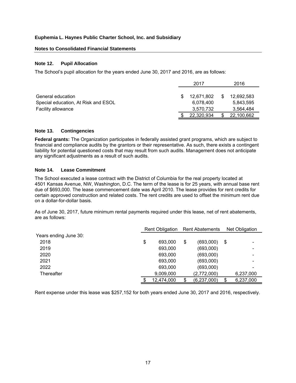#### **Notes to Consolidated Financial Statements**

#### **Note 12. Pupil Allocation**

The School's pupil allocation for the years ended June 30, 2017 and 2016, are as follows:

|                                     | 2017       |   | 2016       |
|-------------------------------------|------------|---|------------|
|                                     |            |   |            |
| General education                   | 12,671,802 | S | 12,692,583 |
| Special education, At Risk and ESOL | 6.078.400  |   | 5,843,595  |
| <b>Facility allowance</b>           | 3,570,732  |   | 3,564,484  |
|                                     | 22,320,934 |   | 22,100,662 |

#### **Note 13. Contingencies**

**Federal grants:** The Organization participates in federally assisted grant programs, which are subject to financial and compliance audits by the grantors or their representative. As such, there exists a contingent liability for potential questioned costs that may result from such audits. Management does not anticipate any significant adjustments as a result of such audits.

#### **Note 14. Lease Commitment**

The School executed a lease contract with the District of Columbia for the real property located at 4501 Kansas Avenue, NW, Washington, D.C. The term of the lease is for 25 years, with annual base rent due of \$693,000. The lease commencement date was April 2010. The lease provides for rent credits for certain approved construction and related costs. The rent credits are used to offset the minimum rent due on a dollar-for-dollar basis.

As of June 30, 2017, future minimum rental payments required under this lease, net of rent abatements, are as follows:

|                       |    | <b>Rent Obligation</b> |    | <b>Rent Abatements</b> |    | <b>Net Obligation</b> |
|-----------------------|----|------------------------|----|------------------------|----|-----------------------|
| Years ending June 30: |    |                        |    |                        |    |                       |
| 2018                  | \$ | 693,000                | \$ | (693,000)              | \$ |                       |
| 2019                  |    | 693,000                |    | (693,000)              |    |                       |
| 2020                  |    | 693,000                |    | (693,000)              |    |                       |
| 2021                  |    | 693,000                |    | (693,000)              |    |                       |
| 2022                  |    | 693,000                |    | (693,000)              |    |                       |
| Thereafter            |    | 9,009,000              |    | (2,772,000)            |    | 6,237,000             |
|                       | S  | 12,474,000             |    | (6, 237, 000)          |    | 6,237,000             |

Rent expense under this lease was \$257,152 for both years ended June 30, 2017 and 2016, respectively.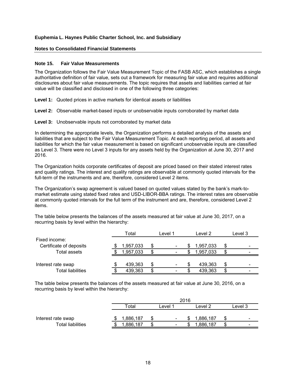#### **Notes to Consolidated Financial Statements**

#### **Note 15. Fair Value Measurements**

The Organization follows the Fair Value Measurement Topic of the FASB ASC, which establishes a single authoritative definition of fair value, sets out a framework for measuring fair value and requires additional disclosures about fair value measurements. The topic requires that assets and liabilities carried at fair value will be classified and disclosed in one of the following three categories:

**Level 1:** Quoted prices in active markets for identical assets or liabilities

**Level 2:** Observable market-based inputs or unobservable inputs corroborated by market data

**Level 3:** Unobservable inputs not corroborated by market data

In determining the appropriate levels, the Organization performs a detailed analysis of the assets and liabilities that are subject to the Fair Value Measurement Topic. At each reporting period, all assets and liabilities for which the fair value measurement is based on significant unobservable inputs are classified as Level 3. There were no Level 3 inputs for any assets held by the Organization at June 30, 2017 and 2016.

The Organization holds corporate certificates of deposit are priced based on their stated interest rates and quality ratings. The interest and quality ratings are observable at commonly quoted intervals for the full-term of the instruments and are, therefore, considered Level 2 items.

The Organization's swap agreement is valued based on quoted values stated by the bank's mark-tomarket estimate using stated fixed rates and USD-LIBOR-BBA ratings. The interest rates are observable at commonly quoted intervals for the full term of the instrument and are, therefore, considered Level 2 items.

The table below presents the balances of the assets measured at fair value at June 30, 2017, on a recurring basis by level within the hierarchy:

|                          | Total      | Level 1 | Level 2   | Level 3 |  |  |
|--------------------------|------------|---------|-----------|---------|--|--|
| Fixed income:            |            |         |           |         |  |  |
| Certificate of deposits  | 957,033. ا |         | 1,957,033 | S       |  |  |
| <b>Total assets</b>      | ,957,033   |         | 1,957,033 |         |  |  |
|                          |            |         |           |         |  |  |
| Interest rate swap       | 439,363    |         | 439,363   | S       |  |  |
| <b>Total liabilities</b> | 439,363    |         | 439,363   |         |  |  |

The table below presents the balances of the assets measured at fair value at June 30, 2016, on a recurring basis by level within the hierarchy:

|                          | 2016     |                |          |                               |  |  |  |  |  |  |  |
|--------------------------|----------|----------------|----------|-------------------------------|--|--|--|--|--|--|--|
|                          | Total    | Level          | Level 2  | ∟evel 3                       |  |  |  |  |  |  |  |
|                          |          |                |          |                               |  |  |  |  |  |  |  |
| Interest rate swap       | ,886,187 | $\blacksquare$ | ,886,187 | S<br>$\overline{\phantom{0}}$ |  |  |  |  |  |  |  |
| <b>Total liabilities</b> | ,886,187 | -              | ,886,187 | ¢<br>$\overline{\phantom{0}}$ |  |  |  |  |  |  |  |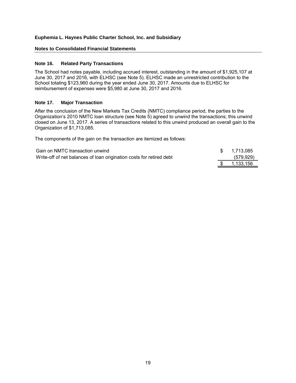#### **Notes to Consolidated Financial Statements**

#### **Note 16. Related Party Transactions**

The School had notes payable, including accrued interest, outstanding in the amount of \$1,925,107 at June 30, 2017 and 2016, with ELHSC (see Note 5). ELHSC made an unrestricted contribution to the School totaling \$123,960 during the year ended June 30, 2017. Amounts due to ELHSC for reimbursement of expenses were \$5,980 at June 30, 2017 and 2016.

#### **Note 17. Major Transaction**

After the conclusion of the New Markets Tax Credits (NMTC) compliance period, the parties to the Organization's 2010 NMTC loan structure (see Note 5) agreed to unwind the transactions; this unwind closed on June 13, 2017. A series of transactions related to this unwind produced an overall gain to the Organization of \$1,713,085.

The components of the gain on the transaction are itemized as follows:

| Gain on NMTC transaction unwind                                      | 1.713.085  |
|----------------------------------------------------------------------|------------|
| Write-off of net balances of loan origination costs for retired debt | (579, 929) |
|                                                                      | 1.133.156  |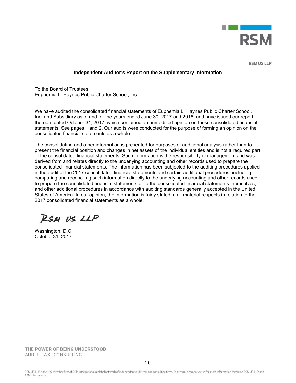

**RSM US LLP** 

#### **Independent Auditor's Report on the Supplementary Information**

To the Board of Trustees Euphemia L. Haynes Public Charter School, Inc.

We have audited the consolidated financial statements of Euphemia L. Haynes Public Charter School, Inc. and Subsidiary as of and for the years ended June 30, 2017 and 2016, and have issued our report thereon, dated October 31, 2017, which contained an unmodified opinion on those consolidated financial statements. See pages 1 and 2. Our audits were conducted for the purpose of forming an opinion on the consolidated financial statements as a whole.

The consolidating and other information is presented for purposes of additional analysis rather than to present the financial position and changes in net assets of the individual entities and is not a required part of the consolidated financial statements. Such information is the responsibility of management and was derived from and relates directly to the underlying accounting and other records used to prepare the consolidated financial statements. The information has been subjected to the auditing procedures applied in the audit of the 2017 consolidated financial statements and certain additional procedures, including comparing and reconciling such information directly to the underlying accounting and other records used to prepare the consolidated financial statements or to the consolidated financial statements themselves, and other additional procedures in accordance with auditing standards generally accepted in the United States of America. In our opinion, the information is fairly stated in all material respects in relation to the 2017 consolidated financial statements as a whole.

RSM US LLP

Washington, D.C. October 31, 2017

THE POWER OF BEING UNDERSTOOD AUDIT | TAX | CONSULTING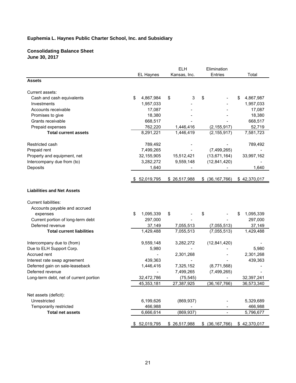#### **Consolidating Balance Sheet June 30, 2017**

|                                        |                 | <b>ELH</b>   |                              |                 |
|----------------------------------------|-----------------|--------------|------------------------------|-----------------|
|                                        | EL Haynes       | Kansas, Inc. | Entries                      | Total           |
| <b>Assets</b>                          |                 |              |                              |                 |
| Current assets:                        |                 |              |                              |                 |
| Cash and cash equivalents              | \$<br>4,867,984 | \$<br>3      | \$                           | 4,867,987<br>\$ |
| Investments                            | 1,957,033       |              |                              | 1,957,033       |
| Accounts receivable                    | 17,087          |              |                              | 17,087          |
| Promises to give                       | 18,380          |              |                              | 18,380          |
| Grants receivable                      | 668,517         |              |                              | 668,517         |
| Prepaid expenses                       | 762,220         | 1,446,416    | (2, 155, 917)                | 52,719          |
| <b>Total current assets</b>            | 8,291,221       | 1,446,419    | (2, 155, 917)                | 7,581,723       |
| Restricted cash                        | 789,492         |              |                              | 789,492         |
| Prepaid rent                           | 7,499,265       |              | (7, 499, 265)                |                 |
| Property and equipment, net            | 32,155,905      | 15,512,421   | (13,671,164)                 | 33,997,162      |
| Intercompany due from (to)             | 3,282,272       | 9,559,148    | (12, 841, 420)               |                 |
| Deposits                               | 1,640           |              |                              | 1,640           |
|                                        | \$52,019,795    | \$26,517,988 | $$$ $(36, 167, 766)$         | \$42,370,017    |
| <b>Liabilities and Net Assets</b>      |                 |              |                              |                 |
| Current liabilities:                   |                 |              |                              |                 |
| Accounts payable and accrued           |                 |              |                              |                 |
| expenses                               | 1,095,339<br>\$ | \$           | S                            | 1,095,339<br>S  |
| Current portion of long-term debt      | 297,000         |              |                              | 297,000         |
| Deferred revenue                       | 37,149          | 7,055,513    | (7,055,513)                  | 37,149          |
| <b>Total current liabilities</b>       | 1,429,488       | 7,055,513    | (7,055,513)                  | 1,429,488       |
| Intercompany due to (from)             | 9,559,148       | 3,282,272    | (12, 841, 420)               |                 |
| Due to ELH Support Corp.               | 5,980           |              |                              | 5,980           |
| Accrued rent                           |                 | 2,301,268    |                              | 2,301,268       |
| Interest rate swap agreement           | 439,363         |              |                              | 439,363         |
| Deferred gain on sale-leaseback        | 1,446,416       | 7,325,152    | (8,771,568)                  |                 |
| Deferred revenue                       |                 | 7,499,265    | (7, 499, 265)                |                 |
| Long-term debt, net of current portion | 32,472,786      | (75, 545)    |                              | 32,397,241      |
|                                        | 45,353,181      | 27,387,925   | (36, 167, 766)               | 36,573,340      |
| Net assets (deficit):                  |                 |              |                              |                 |
| Unrestricted                           | 6,199,626       | (869, 937)   |                              | 5,329,689       |
| Temporarily restricted                 | 466,988         |              |                              | 466,988         |
| <b>Total net assets</b>                | 6,666,614       | (869, 937)   | $\qquad \qquad \blacksquare$ | 5,796,677       |
|                                        |                 |              |                              |                 |
|                                        | \$52,019,795    | \$26,517,988 | $$$ $(36, 167, 766)$         | \$42,370,017    |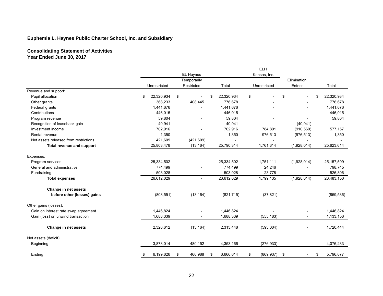# **Consolidating Statement of Activities Year Ended June 30, 2017**

|                                       |                  |                          |                  | <b>ELH</b>               |                |                  |
|---------------------------------------|------------------|--------------------------|------------------|--------------------------|----------------|------------------|
|                                       |                  | EL Haynes                |                  | Kansas, Inc.             |                |                  |
|                                       |                  | Temporarily              |                  |                          | Elimination    |                  |
|                                       | Unrestricted     | Restricted               | Total            | Unrestricted             | Entries        | Total            |
| Revenue and support:                  |                  |                          |                  |                          |                |                  |
| Pupil allocation                      | \$<br>22,320,934 | \$                       | \$<br>22,320,934 | \$                       | \$             | \$<br>22,320,934 |
| Other grants                          | 368,233          | 408,445                  | 776,678          |                          |                | 776,678          |
| Federal grants                        | 1,441,676        |                          | 1,441,676        |                          |                | 1,441,676        |
| Contributions                         | 446,015          |                          | 446,015          |                          |                | 446,015          |
| Program revenue                       | 59,804           |                          | 59,804           |                          |                | 59,804           |
| Recognition of leaseback gain         | 40,941           |                          | 40,941           |                          | (40, 941)      |                  |
| Investment income                     | 702,916          |                          | 702,916          | 784,801                  | (910, 560)     | 577,157          |
| Rental revenue                        | 1,350            |                          | 1,350            | 976,513                  | (976, 513)     | 1,350            |
| Net assets released from restrictions | 421,609          | (421, 609)               | $\overline{a}$   | $\overline{\phantom{a}}$ | $\blacksquare$ |                  |
| Total revenue and support             | 25,803,478       | (13, 164)                | 25,790,314       | 1,761,314                | (1,928,014)    | 25,623,614       |
| Expenses:                             |                  |                          |                  |                          |                |                  |
| Program services                      | 25,334,502       |                          | 25,334,502       | 1,751,111                | (1,928,014)    | 25, 157, 599     |
| General and administrative            | 774,499          |                          | 774,499          | 24,246                   |                | 798,745          |
| Fundraising                           | 503,028          | $\overline{\phantom{a}}$ | 503,028          | 23,778                   |                | 526,806          |
| <b>Total expenses</b>                 | 26,612,029       | $\sim$                   | 26,612,029       | 1,799,135                | (1,928,014)    | 26,483,150       |
| Change in net assets                  |                  |                          |                  |                          |                |                  |
| before other (losses) gains           | (808, 551)       | (13, 164)                | (821, 715)       | (37, 821)                |                | (859, 536)       |
| Other gains (losses):                 |                  |                          |                  |                          |                |                  |
| Gain on interest rate swap agreement  | 1,446,824        |                          | 1,446,824        |                          |                | 1,446,824        |
| Gain (loss) on unwind transaction     | 1,688,339        |                          | 1,688,339        | (555, 183)               |                | 1,133,156        |
| Change in net assets                  | 2,326,612        | (13, 164)                | 2,313,448        | (593,004)                |                | 1,720,444        |
| Net assets (deficit):                 |                  |                          |                  |                          |                |                  |
| Beginning                             | 3,873,014        | 480,152                  | 4,353,166        | (276, 933)               |                | 4,076,233        |
| Ending                                | \$<br>6,199,626  | \$<br>466,988            | \$<br>6,666,614  | \$<br>(869, 937)         | \$             | \$<br>5,796,677  |